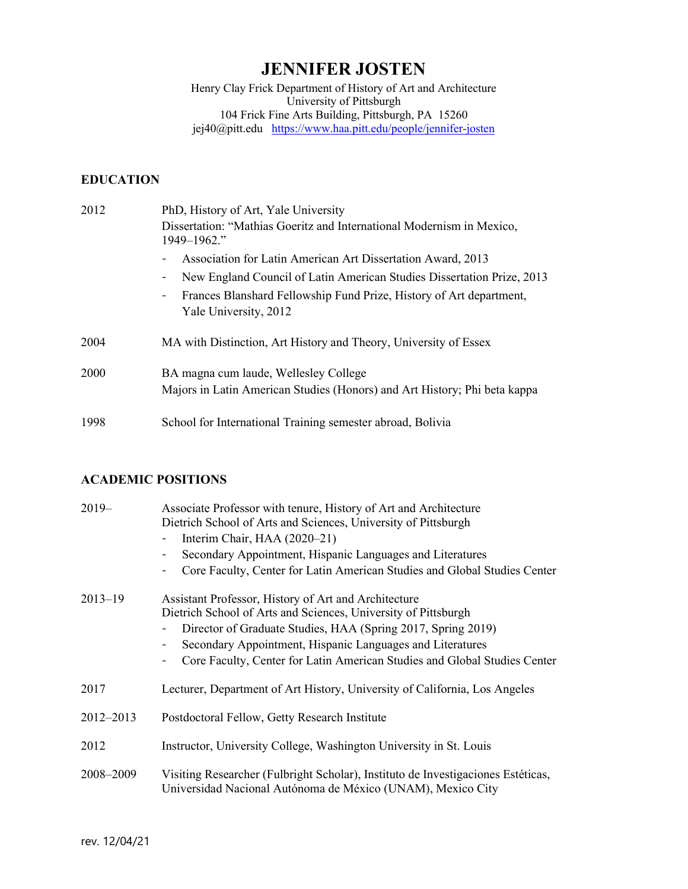# **JENNIFER JOSTEN**

Henry Clay Frick Department of History of Art and Architecture University of Pittsburgh 104 Frick Fine Arts Building, Pittsburgh, PA 15260 jej40@pitt.edu <u><https://www.haa.pitt.edu/people/jennifer-josten></u>

# **EDUCATION**

| 2012 | PhD, History of Art, Yale University<br>Dissertation: "Mathias Goeritz and International Modernism in Mexico,<br>1949-1962."                                                                                                                                      |
|------|-------------------------------------------------------------------------------------------------------------------------------------------------------------------------------------------------------------------------------------------------------------------|
|      | Association for Latin American Art Dissertation Award, 2013<br>New England Council of Latin American Studies Dissertation Prize, 2013<br>Frances Blanshard Fellowship Fund Prize, History of Art department,<br>$\overline{\phantom{a}}$<br>Yale University, 2012 |
| 2004 | MA with Distinction, Art History and Theory, University of Essex                                                                                                                                                                                                  |
| 2000 | BA magna cum laude, Wellesley College<br>Majors in Latin American Studies (Honors) and Art History; Phi beta kappa                                                                                                                                                |
| 1998 | School for International Training semester abroad, Bolivia                                                                                                                                                                                                        |

# **ACADEMIC POSITIONS**

| $2019-$     | Associate Professor with tenure, History of Art and Architecture<br>Dietrich School of Arts and Sciences, University of Pittsburgh<br>Interim Chair, HAA (2020–21)<br>Secondary Appointment, Hispanic Languages and Literatures<br>Core Faculty, Center for Latin American Studies and Global Studies Center                     |
|-------------|----------------------------------------------------------------------------------------------------------------------------------------------------------------------------------------------------------------------------------------------------------------------------------------------------------------------------------|
| $2013 - 19$ | Assistant Professor, History of Art and Architecture<br>Dietrich School of Arts and Sciences, University of Pittsburgh<br>Director of Graduate Studies, HAA (Spring 2017, Spring 2019)<br>Secondary Appointment, Hispanic Languages and Literatures<br>Core Faculty, Center for Latin American Studies and Global Studies Center |
| 2017        | Lecturer, Department of Art History, University of California, Los Angeles                                                                                                                                                                                                                                                       |
| 2012-2013   | Postdoctoral Fellow, Getty Research Institute                                                                                                                                                                                                                                                                                    |
| 2012        | Instructor, University College, Washington University in St. Louis                                                                                                                                                                                                                                                               |
| 2008–2009   | Visiting Researcher (Fulbright Scholar), Instituto de Investigaciones Estéticas,<br>Universidad Nacional Autónoma de México (UNAM), Mexico City                                                                                                                                                                                  |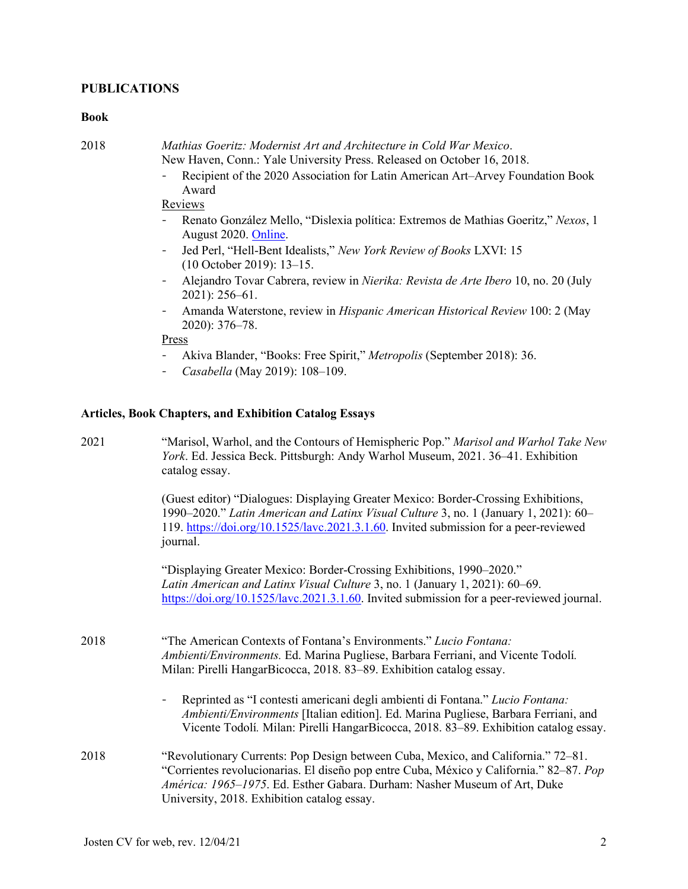# **PUBLICATIONS**

#### **Book**

| 2018 | Mathias Goeritz: Modernist Art and Architecture in Cold War Mexico.    |
|------|------------------------------------------------------------------------|
|      | New Haven, Conn.: Yale University Press. Released on October 16, 2018. |

- Recipient of the 2020 Association for Latin American Art–Arvey Foundation Book Award

# Reviews

- Renato González Mello, "Dislexia política: Extremos de Mathias Goeritz," *Nexos*, 1 August 2020. [Online.](https://cultura.nexos.com.mx/extremos-de-mathias-goeritz/)
- Jed Perl, "Hell-Bent Idealists," *New York Review of Books* LXVI: 15 (10 October 2019): 13–15.
- Alejandro Tovar Cabrera, review in *Nierika: Revista de Arte Ibero* 10, no. 20 (July 2021): 256–61.
- Amanda Waterstone, review in *Hispanic American Historical Review* 100: 2 (May 2020): 376–78.

# Press

- Akiva Blander, "Books: Free Spirit," *Metropolis* (September 2018): 36.
- *Casabella* (May 2019): 108–109.

# **Articles, Book Chapters, and Exhibition Catalog Essays**

| "Marisol, Warhol, and the Contours of Hemispheric Pop." Marisol and Warhol Take New<br>York. Ed. Jessica Beck. Pittsburgh: Andy Warhol Museum, 2021. 36-41. Exhibition<br>catalog essay.                                                                                                                 |
|----------------------------------------------------------------------------------------------------------------------------------------------------------------------------------------------------------------------------------------------------------------------------------------------------------|
| (Guest editor) "Dialogues: Displaying Greater Mexico: Border-Crossing Exhibitions,<br>1990–2020." Latin American and Latinx Visual Culture 3, no. 1 (January 1, 2021): 60–<br>119. https://doi.org/10.1525/lave.2021.3.1.60. Invited submission for a peer-reviewed<br>journal.                          |
| "Displaying Greater Mexico: Border-Crossing Exhibitions, 1990–2020."<br>Latin American and Latinx Visual Culture 3, no. 1 (January 1, 2021): 60-69.<br>https://doi.org/10.1525/lavc.2021.3.1.60. Invited submission for a peer-reviewed journal.                                                         |
| "The American Contexts of Fontana's Environments." Lucio Fontana:<br>Ambienti/Environments. Ed. Marina Pugliese, Barbara Ferriani, and Vicente Todolí.<br>Milan: Pirelli HangarBicocca, 2018. 83–89. Exhibition catalog essay.                                                                           |
| Reprinted as "I contesti americani degli ambienti di Fontana." Lucio Fontana:<br>Ambienti/Environments [Italian edition]. Ed. Marina Pugliese, Barbara Ferriani, and<br>Vicente Todolí. Milan: Pirelli HangarBicocca, 2018. 83–89. Exhibition catalog essay.                                             |
| "Revolutionary Currents: Pop Design between Cuba, Mexico, and California." 72–81.<br>"Corrientes revolucionarias. El diseño pop entre Cuba, México y California." 82–87. Pop<br>América: 1965-1975. Ed. Esther Gabara. Durham: Nasher Museum of Art, Duke<br>University, 2018. Exhibition catalog essay. |
|                                                                                                                                                                                                                                                                                                          |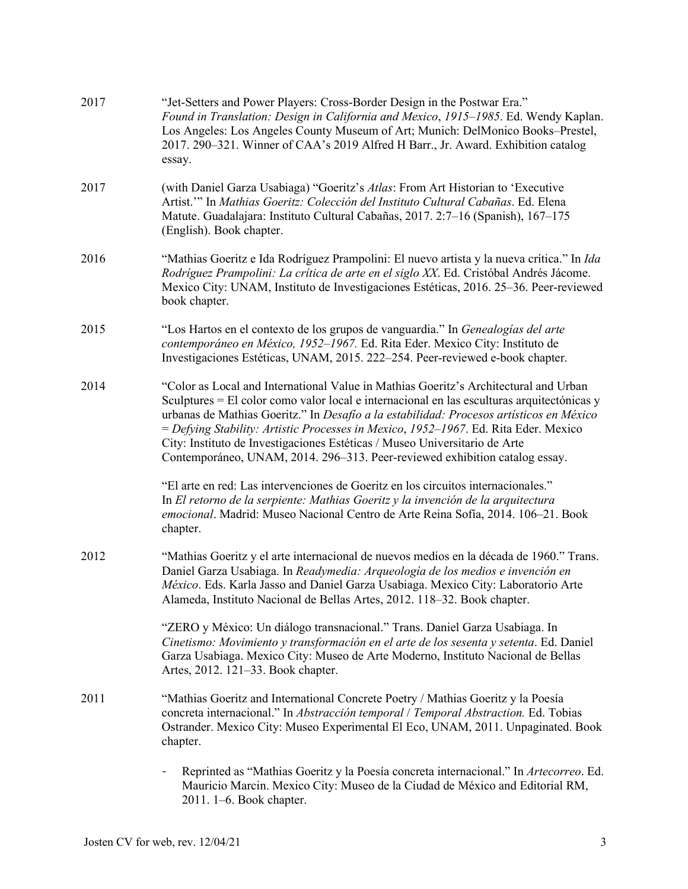| 2017 | "Jet-Setters and Power Players: Cross-Border Design in the Postwar Era."<br>Found in Translation: Design in California and Mexico, 1915-1985. Ed. Wendy Kaplan.<br>Los Angeles: Los Angeles County Museum of Art; Munich: DelMonico Books-Prestel,<br>2017. 290–321. Winner of CAA's 2019 Alfred H Barr., Jr. Award. Exhibition catalog<br>essay.                                                                                                                                                                                 |
|------|-----------------------------------------------------------------------------------------------------------------------------------------------------------------------------------------------------------------------------------------------------------------------------------------------------------------------------------------------------------------------------------------------------------------------------------------------------------------------------------------------------------------------------------|
| 2017 | (with Daniel Garza Usabiaga) "Goeritz's Atlas: From Art Historian to 'Executive<br>Artist." In Mathias Goeritz: Colección del Instituto Cultural Cabañas. Ed. Elena<br>Matute. Guadalajara: Instituto Cultural Cabañas, 2017. 2:7-16 (Spanish), 167-175<br>(English). Book chapter.                                                                                                                                                                                                                                               |
| 2016 | "Mathias Goeritz e Ida Rodríguez Prampolini: El nuevo artista y la nueva crítica." In Ida<br>Rodríguez Prampolini: La crítica de arte en el siglo XX. Ed. Cristóbal Andrés Jácome.<br>Mexico City: UNAM, Instituto de Investigaciones Estéticas, 2016. 25–36. Peer-reviewed<br>book chapter.                                                                                                                                                                                                                                      |
| 2015 | "Los Hartos en el contexto de los grupos de vanguardia." In Genealogías del arte<br>contemporáneo en México, 1952-1967. Ed. Rita Eder. Mexico City: Instituto de<br>Investigaciones Estéticas, UNAM, 2015. 222-254. Peer-reviewed e-book chapter.                                                                                                                                                                                                                                                                                 |
| 2014 | "Color as Local and International Value in Mathias Goeritz's Architectural and Urban<br>Sculptures = El color como valor local e internacional en las esculturas arquitectónicas y<br>urbanas de Mathias Goeritz." In Desafío a la estabilidad: Procesos artísticos en México<br>= Defying Stability: Artistic Processes in Mexico, 1952-1967. Ed. Rita Eder. Mexico<br>City: Instituto de Investigaciones Estéticas / Museo Universitario de Arte<br>Contemporáneo, UNAM, 2014. 296-313. Peer-reviewed exhibition catalog essay. |
|      | "El arte en red: Las intervenciones de Goeritz en los circuitos internacionales."<br>In El retorno de la serpiente: Mathias Goeritz y la invención de la arquitectura<br>emocional. Madrid: Museo Nacional Centro de Arte Reina Sofía, 2014. 106-21. Book<br>chapter.                                                                                                                                                                                                                                                             |
| 2012 | "Mathias Goeritz y el arte internacional de nuevos medios en la década de 1960." Trans.<br>Daniel Garza Usabiaga. In Readymedia: Arqueología de los medios e invención en<br>México. Eds. Karla Jasso and Daniel Garza Usabiaga. Mexico City: Laboratorio Arte<br>Alameda, Instituto Nacional de Bellas Artes, 2012. 118-32. Book chapter.                                                                                                                                                                                        |
|      | "ZERO y México: Un diálogo transnacional." Trans. Daniel Garza Usabiaga. In<br>Cinetismo: Movimiento y transformación en el arte de los sesenta y setenta. Ed. Daniel<br>Garza Usabiaga. Mexico City: Museo de Arte Moderno, Instituto Nacional de Bellas<br>Artes, 2012. 121-33. Book chapter.                                                                                                                                                                                                                                   |
| 2011 | "Mathias Goeritz and International Concrete Poetry / Mathias Goeritz y la Poesía<br>concreta internacional." In Abstracción temporal / Temporal Abstraction. Ed. Tobias<br>Ostrander. Mexico City: Museo Experimental El Eco, UNAM, 2011. Unpaginated. Book<br>chapter.                                                                                                                                                                                                                                                           |
|      | Reprinted as "Mathias Goeritz y la Poesía concreta internacional." In Artecorreo. Ed.<br>Mauricio Marcin. Mexico City: Museo de la Ciudad de México and Editorial RM,<br>2011. 1–6. Book chapter.                                                                                                                                                                                                                                                                                                                                 |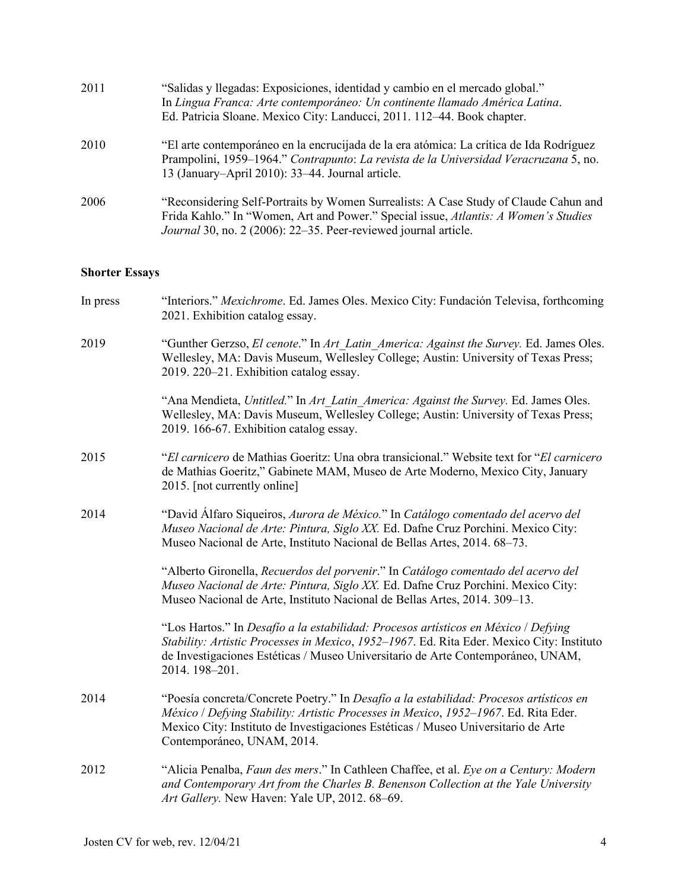| 2011 | "Salidas y llegadas: Exposiciones, identidad y cambio en el mercado global."<br>In Lingua Franca: Arte contemporáneo: Un continente llamado América Latina.<br>Ed. Patricia Sloane. Mexico City: Landucci, 2011. 112–44. Book chapter.         |
|------|------------------------------------------------------------------------------------------------------------------------------------------------------------------------------------------------------------------------------------------------|
| 2010 | "El arte contemporáneo en la encrucijada de la era atómica: La crítica de Ida Rodríguez<br>Prampolini, 1959–1964." Contrapunto: La revista de la Universidad Veracruzana 5, no.<br>13 (January–April 2010): 33–44. Journal article.            |
| 2006 | "Reconsidering Self-Portraits by Women Surrealists: A Case Study of Claude Cahun and<br>Frida Kahlo." In "Women, Art and Power." Special issue, Atlantis: A Women's Studies<br>Journal 30, no. 2 (2006): 22–35. Peer-reviewed journal article. |

# **Shorter Essays**

| In press | "Interiors." Mexichrome. Ed. James Oles. Mexico City: Fundación Televisa, forthcoming<br>2021. Exhibition catalog essay.                                                                                                                                                                         |
|----------|--------------------------------------------------------------------------------------------------------------------------------------------------------------------------------------------------------------------------------------------------------------------------------------------------|
| 2019     | "Gunther Gerzso, El cenote." In Art Latin America: Against the Survey. Ed. James Oles.<br>Wellesley, MA: Davis Museum, Wellesley College; Austin: University of Texas Press;<br>2019. 220-21. Exhibition catalog essay.                                                                          |
|          | "Ana Mendieta, Untitled." In Art Latin America: Against the Survey. Ed. James Oles.<br>Wellesley, MA: Davis Museum, Wellesley College; Austin: University of Texas Press;<br>2019. 166-67. Exhibition catalog essay.                                                                             |
| 2015     | "El carnicero de Mathias Goeritz: Una obra transicional." Website text for "El carnicero"<br>de Mathias Goeritz," Gabinete MAM, Museo de Arte Moderno, Mexico City, January<br>2015. [not currently online]                                                                                      |
| 2014     | "David Álfaro Siqueiros, Aurora de México." In Catálogo comentado del acervo del<br>Museo Nacional de Arte: Pintura, Siglo XX. Ed. Dafne Cruz Porchini. Mexico City:<br>Museo Nacional de Arte, Instituto Nacional de Bellas Artes, 2014. 68-73.                                                 |
|          | "Alberto Gironella, Recuerdos del porvenir." In Catálogo comentado del acervo del<br>Museo Nacional de Arte: Pintura, Siglo XX. Ed. Dafne Cruz Porchini. Mexico City:<br>Museo Nacional de Arte, Instituto Nacional de Bellas Artes, 2014. 309-13.                                               |
|          | "Los Hartos." In Desafío a la estabilidad: Procesos artísticos en México / Defying<br>Stability: Artistic Processes in Mexico, 1952-1967. Ed. Rita Eder. Mexico City: Instituto<br>de Investigaciones Estéticas / Museo Universitario de Arte Contemporáneo, UNAM,<br>2014. 198-201.             |
| 2014     | "Poesía concreta/Concrete Poetry." In Desafío a la estabilidad: Procesos artísticos en<br>México / Defying Stability: Artistic Processes in Mexico, 1952-1967. Ed. Rita Eder.<br>Mexico City: Instituto de Investigaciones Estéticas / Museo Universitario de Arte<br>Contemporáneo, UNAM, 2014. |
| 2012     | "Alicia Penalba, Faun des mers." In Cathleen Chaffee, et al. Eye on a Century: Modern<br>and Contemporary Art from the Charles B. Benenson Collection at the Yale University<br>Art Gallery. New Haven: Yale UP, 2012. 68-69.                                                                    |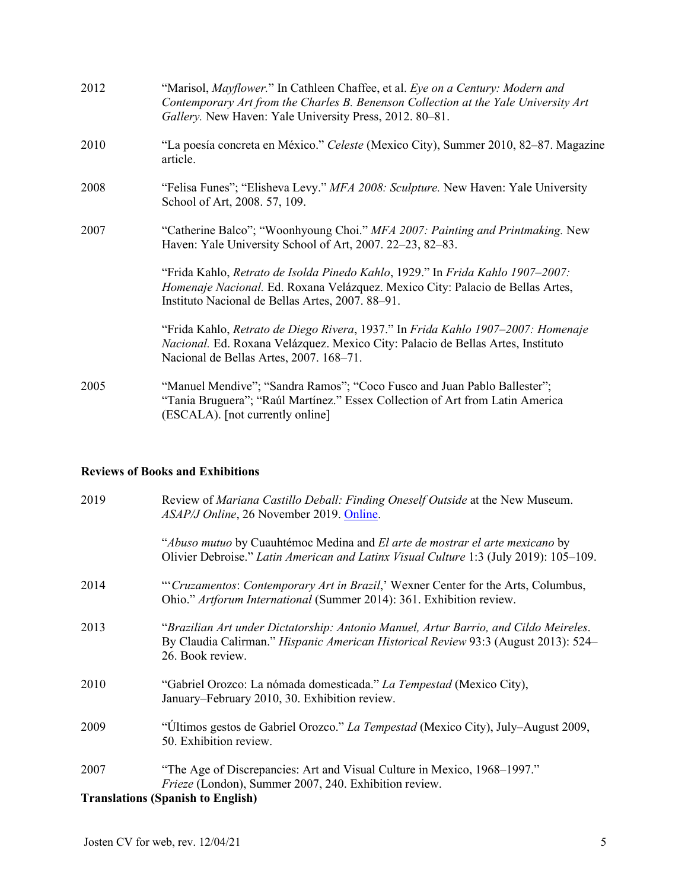| 2012 | "Marisol, Mayflower." In Cathleen Chaffee, et al. Eye on a Century: Modern and<br>Contemporary Art from the Charles B. Benenson Collection at the Yale University Art<br>Gallery. New Haven: Yale University Press, 2012. 80-81. |
|------|----------------------------------------------------------------------------------------------------------------------------------------------------------------------------------------------------------------------------------|
| 2010 | "La poesía concreta en México." Celeste (Mexico City), Summer 2010, 82–87. Magazine<br>article.                                                                                                                                  |
| 2008 | "Felisa Funes"; "Elisheva Levy." MFA 2008: Sculpture. New Haven: Yale University<br>School of Art, 2008. 57, 109.                                                                                                                |
| 2007 | "Catherine Balco"; "Woonhyoung Choi." MFA 2007: Painting and Printmaking. New<br>Haven: Yale University School of Art, 2007. 22–23, 82–83.                                                                                       |
|      | "Frida Kahlo, Retrato de Isolda Pinedo Kahlo, 1929." In Frida Kahlo 1907-2007:<br>Homenaje Nacional. Ed. Roxana Velázquez. Mexico City: Palacio de Bellas Artes,<br>Instituto Nacional de Bellas Artes, 2007. 88–91.             |
|      | "Frida Kahlo, Retrato de Diego Rivera, 1937." In Frida Kahlo 1907–2007: Homenaje<br>Nacional. Ed. Roxana Velázquez. Mexico City: Palacio de Bellas Artes, Instituto<br>Nacional de Bellas Artes, 2007. 168-71.                   |
| 2005 | "Manuel Mendive"; "Sandra Ramos"; "Coco Fusco and Juan Pablo Ballester";<br>"Tania Bruguera"; "Raúl Martínez." Essex Collection of Art from Latin America<br>(ESCALA). [not currently online]                                    |

# **Reviews of Books and Exhibitions**

| 2019 | Review of Mariana Castillo Deball: Finding Oneself Outside at the New Museum.<br>ASAP/J Online, 26 November 2019. Online.                                                                      |
|------|------------------------------------------------------------------------------------------------------------------------------------------------------------------------------------------------|
|      | "Abuso mutuo by Cuauhtémoc Medina and El arte de mostrar el arte mexicano by<br>Olivier Debroise." Latin American and Latinx Visual Culture 1:3 (July 2019): 105-109.                          |
| 2014 | "Cruzamentos: Contemporary Art in Brazil,' Wexner Center for the Arts, Columbus,<br>Ohio." Artforum International (Summer 2014): 361. Exhibition review.                                       |
| 2013 | "Brazilian Art under Dictatorship: Antonio Manuel, Artur Barrio, and Cildo Meireles.<br>By Claudia Calirman." Hispanic American Historical Review 93:3 (August 2013): 524–<br>26. Book review. |
| 2010 | "Gabriel Orozco: La nómada domesticada." La Tempestad (Mexico City),<br>January–February 2010, 30. Exhibition review.                                                                          |
| 2009 | "Últimos gestos de Gabriel Orozco." La Tempestad (Mexico City), July-August 2009,<br>50. Exhibition review.                                                                                    |
| 2007 | "The Age of Discrepancies: Art and Visual Culture in Mexico, 1968–1997."<br>Frieze (London), Summer 2007, 240. Exhibition review.<br><b>Translations (Spanish to English)</b>                  |
|      |                                                                                                                                                                                                |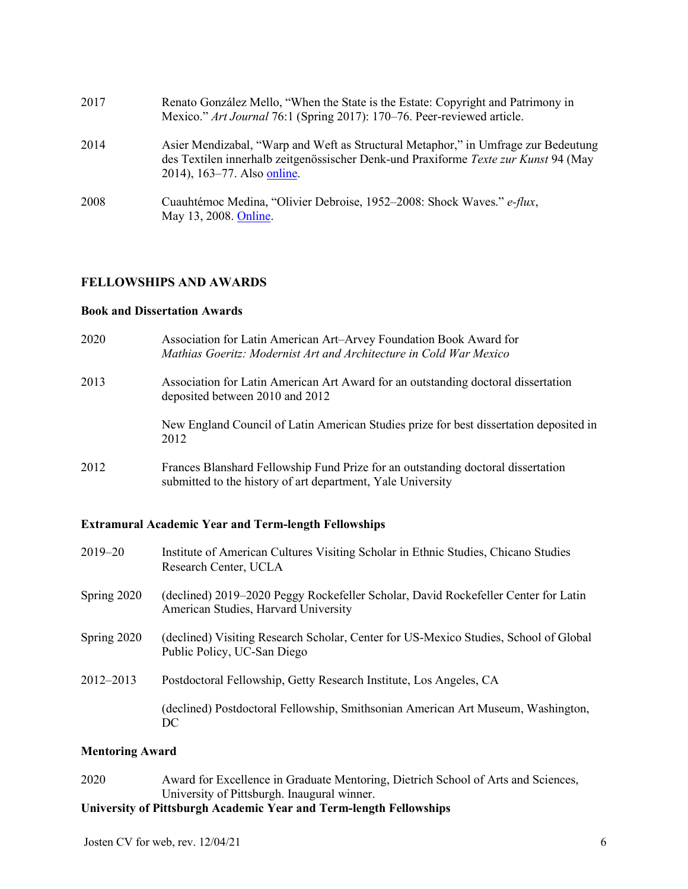| 2017 | Renato González Mello, "When the State is the Estate: Copyright and Patrimony in<br>Mexico." Art Journal 76:1 (Spring 2017): 170–76. Peer-reviewed article.                                              |
|------|----------------------------------------------------------------------------------------------------------------------------------------------------------------------------------------------------------|
| 2014 | Asier Mendizabal, "Warp and Weft as Structural Metaphor," in Umfrage zur Bedeutung<br>des Textilen innerhalb zeitgenössischer Denk-und Praxiforme Texte zur Kunst 94 (May<br>2014), 163–77. Also online. |
| 2008 | Cuauhtémoc Medina, "Olivier Debroise, 1952–2008: Shock Waves." e-flux,<br>May 13, 2008. Online.                                                                                                          |

# **FELLOWSHIPS AND AWARDS**

# **Book and Dissertation Awards**

| 2020 | Association for Latin American Art-Arvey Foundation Book Award for<br>Mathias Goeritz: Modernist Art and Architecture in Cold War Mexico        |
|------|-------------------------------------------------------------------------------------------------------------------------------------------------|
| 2013 | Association for Latin American Art Award for an outstanding doctoral dissertation<br>deposited between 2010 and 2012                            |
|      | New England Council of Latin American Studies prize for best dissertation deposited in<br>2012                                                  |
| 2012 | Frances Blanshard Fellowship Fund Prize for an outstanding doctoral dissertation<br>submitted to the history of art department, Yale University |

# **Extramural Academic Year and Term-length Fellowships**

| $2019 - 20$ | Institute of American Cultures Visiting Scholar in Ethnic Studies, Chicano Studies<br>Research Center, UCLA                |
|-------------|----------------------------------------------------------------------------------------------------------------------------|
| Spring 2020 | (declined) 2019–2020 Peggy Rockefeller Scholar, David Rockefeller Center for Latin<br>American Studies, Harvard University |
| Spring 2020 | (declined) Visiting Research Scholar, Center for US-Mexico Studies, School of Global<br>Public Policy, UC-San Diego        |
| 2012-2013   | Postdoctoral Fellowship, Getty Research Institute, Los Angeles, CA                                                         |
|             | (declined) Postdoctoral Fellowship, Smithsonian American Art Museum, Washington,<br>DC                                     |

## **Mentoring Award**

# 2020 Award for Excellence in Graduate Mentoring, Dietrich School of Arts and Sciences, University of Pittsburgh. Inaugural winner.

# **University of Pittsburgh Academic Year and Term-length Fellowships**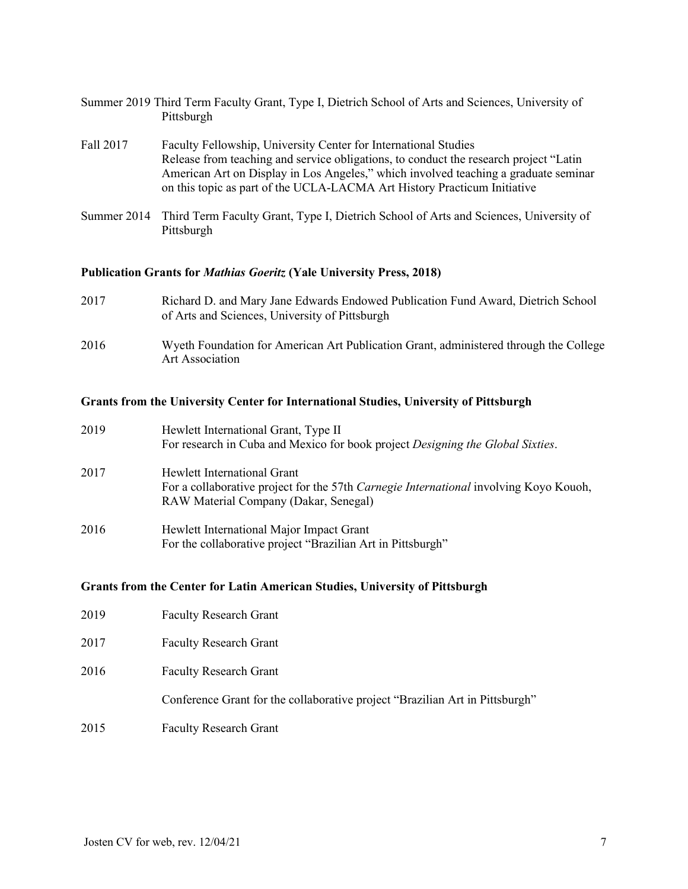|            | Summer 2019 Third Term Faculty Grant, Type I, Dietrich School of Arts and Sciences, University of |  |
|------------|---------------------------------------------------------------------------------------------------|--|
| Pittsburgh |                                                                                                   |  |

- Fall 2017 Faculty Fellowship, University Center for International Studies Release from teaching and service obligations, to conduct the research project "Latin American Art on Display in Los Angeles," which involved teaching a graduate seminar on this topic as part of the UCLA-LACMA Art History Practicum Initiative
- Summer 2014 Third Term Faculty Grant, Type I, Dietrich School of Arts and Sciences, University of Pittsburgh

# **Publication Grants for** *Mathias Goeritz* **(Yale University Press, 2018)**

- 2017 Richard D. and Mary Jane Edwards Endowed Publication Fund Award, Dietrich School of Arts and Sciences, University of Pittsburgh
- 2016 Wyeth Foundation for American Art Publication Grant, administered through the College Art Association

### **Grants from the University Center for International Studies, University of Pittsburgh**

| 2019 | Hewlett International Grant, Type II<br>For research in Cuba and Mexico for book project Designing the Global Sixties. |
|------|------------------------------------------------------------------------------------------------------------------------|
|      |                                                                                                                        |
| 2017 | Hewlett International Grant                                                                                            |
|      | For a collaborative project for the 57th Carnegie International involving Koyo Kouoh,                                  |
|      | RAW Material Company (Dakar, Senegal)                                                                                  |
| 2016 | Hewlett International Major Impact Grant                                                                               |
|      | For the collaborative project "Brazilian Art in Pittsburgh"                                                            |
|      |                                                                                                                        |

### **Grants from the Center for Latin American Studies, University of Pittsburgh**

| 2017 | <b>Faculty Research Grant</b>                                                |
|------|------------------------------------------------------------------------------|
| 2016 | <b>Faculty Research Grant</b>                                                |
|      | Conference Grant for the collaborative project "Brazilian Art in Pittsburgh" |
| 2015 | <b>Faculty Research Grant</b>                                                |

2019 Faculty Research Grant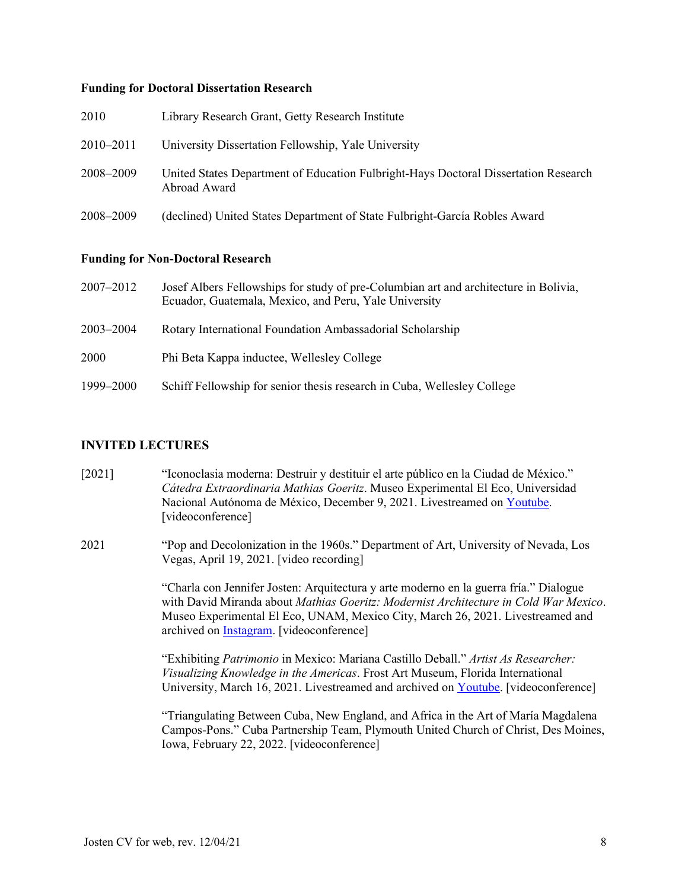#### **Funding for Doctoral Dissertation Research**

| 2010      | Library Research Grant, Getty Research Institute                                                    |
|-----------|-----------------------------------------------------------------------------------------------------|
| 2010–2011 | University Dissertation Fellowship, Yale University                                                 |
| 2008–2009 | United States Department of Education Fulbright-Hays Doctoral Dissertation Research<br>Abroad Award |
| 2008–2009 | (declined) United States Department of State Fulbright-García Robles Award                          |

### **Funding for Non-Doctoral Research**

| 2007–2012     | Josef Albers Fellowships for study of pre-Columbian art and architecture in Bolivia,<br>Ecuador, Guatemala, Mexico, and Peru, Yale University |
|---------------|-----------------------------------------------------------------------------------------------------------------------------------------------|
| $2003 - 2004$ | Rotary International Foundation Ambassadorial Scholarship                                                                                     |
| 2000          | Phi Beta Kappa inductee, Wellesley College                                                                                                    |
| 1999–2000     | Schiff Fellowship for senior thesis research in Cuba, Wellesley College                                                                       |

### **INVITED LECTURES**

- [2021] "Iconoclasia moderna: Destruir y destituir el arte público en la Ciudad de México." *Cátedra Extraordinaria Mathias Goeritz*. Museo Experimental El Eco, Universidad Nacional Autónoma de México, December 9, 2021. Livestreamed o[n Youtube.](https://www.youtube.com/user/museoELECO/videos) [videoconference]
- 2021 "Pop and Decolonization in the 1960s." Department of Art, University of Nevada, Los Vegas, April 19, 2021. [video recording]

"Charla con Jennifer Josten: Arquitectura y arte moderno en la guerra fría." Dialogue with David Miranda about *Mathias Goeritz: Modernist Architecture in Cold War Mexico*. Museo Experimental El Eco, UNAM, Mexico City, March 26, 2021. Livestreamed and archived on [Instagram.](https://www.instagram.com/tv/CM5Q1zNpxhS/?hl=en) [videoconference]

"Exhibiting *Patrimonio* in Mexico: Mariana Castillo Deball." *Artist As Researcher: Visualizing Knowledge in the Americas*. Frost Art Museum, Florida International University, March 16, 2021. Livestreamed and archived on [Youtube.](https://youtu.be/KYAy85scKn0) [videoconference]

"Triangulating Between Cuba, New England, and Africa in the Art of María Magdalena Campos-Pons." Cuba Partnership Team, Plymouth United Church of Christ, Des Moines, Iowa, February 22, 2022. [videoconference]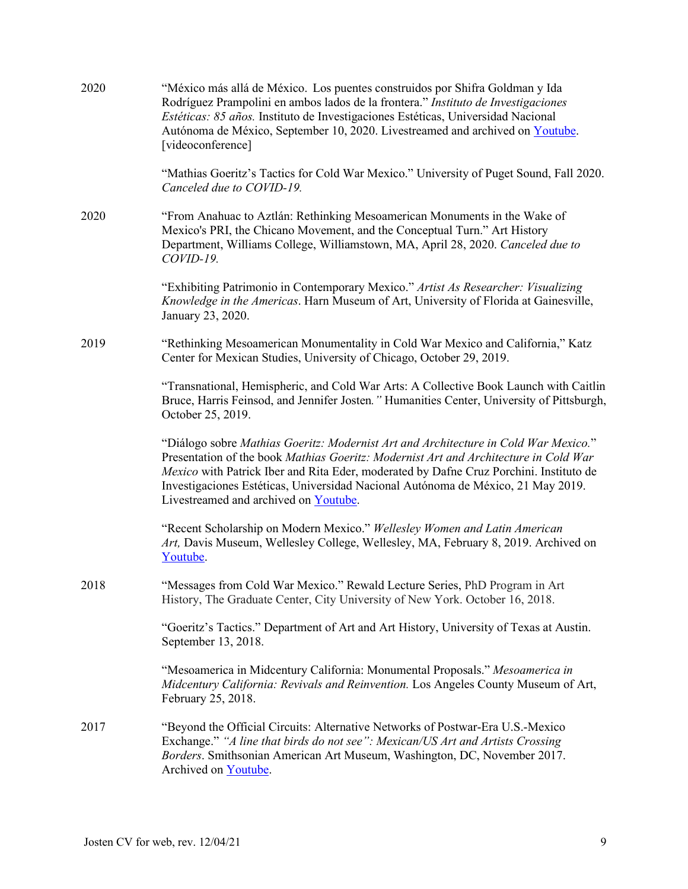| 2020 | "México más allá de México. Los puentes construidos por Shifra Goldman y Ida<br>Rodríguez Prampolini en ambos lados de la frontera." Instituto de Investigaciones<br>Estéticas: 85 años. Instituto de Investigaciones Estéticas, Universidad Nacional<br>Autónoma de México, September 10, 2020. Livestreamed and archived on Youtube.<br>[videoconference]                                        |
|------|----------------------------------------------------------------------------------------------------------------------------------------------------------------------------------------------------------------------------------------------------------------------------------------------------------------------------------------------------------------------------------------------------|
|      | "Mathias Goeritz's Tactics for Cold War Mexico." University of Puget Sound, Fall 2020.<br>Canceled due to COVID-19.                                                                                                                                                                                                                                                                                |
| 2020 | "From Anahuac to Aztlán: Rethinking Mesoamerican Monuments in the Wake of<br>Mexico's PRI, the Chicano Movement, and the Conceptual Turn." Art History<br>Department, Williams College, Williamstown, MA, April 28, 2020. Canceled due to<br>COVID-19.                                                                                                                                             |
|      | "Exhibiting Patrimonio in Contemporary Mexico." Artist As Researcher: Visualizing<br>Knowledge in the Americas. Harn Museum of Art, University of Florida at Gainesville,<br>January 23, 2020.                                                                                                                                                                                                     |
| 2019 | "Rethinking Mesoamerican Monumentality in Cold War Mexico and California," Katz<br>Center for Mexican Studies, University of Chicago, October 29, 2019.                                                                                                                                                                                                                                            |
|      | "Transnational, Hemispheric, and Cold War Arts: A Collective Book Launch with Caitlin<br>Bruce, Harris Feinsod, and Jennifer Josten." Humanities Center, University of Pittsburgh,<br>October 25, 2019.                                                                                                                                                                                            |
|      | "Diálogo sobre Mathias Goeritz: Modernist Art and Architecture in Cold War Mexico."<br>Presentation of the book Mathias Goeritz: Modernist Art and Architecture in Cold War<br>Mexico with Patrick Iber and Rita Eder, moderated by Dafne Cruz Porchini. Instituto de<br>Investigaciones Estéticas, Universidad Nacional Autónoma de México, 21 May 2019.<br>Livestreamed and archived on Youtube. |
|      | "Recent Scholarship on Modern Mexico." Wellesley Women and Latin American<br>Art, Davis Museum, Wellesley College, Wellesley, MA, February 8, 2019. Archived on<br>Youtube.                                                                                                                                                                                                                        |
| 2018 | "Messages from Cold War Mexico." Rewald Lecture Series, PhD Program in Art<br>History, The Graduate Center, City University of New York. October 16, 2018.                                                                                                                                                                                                                                         |
|      | "Goeritz's Tactics." Department of Art and Art History, University of Texas at Austin.<br>September 13, 2018.                                                                                                                                                                                                                                                                                      |
|      | "Mesoamerica in Midcentury California: Monumental Proposals." Mesoamerica in<br>Midcentury California: Revivals and Reinvention. Los Angeles County Museum of Art,<br>February 25, 2018.                                                                                                                                                                                                           |
| 2017 | "Beyond the Official Circuits: Alternative Networks of Postwar-Era U.S.-Mexico<br>Exchange." "A line that birds do not see": Mexican/US Art and Artists Crossing<br>Borders. Smithsonian American Art Museum, Washington, DC, November 2017.<br>Archived on Youtube.                                                                                                                               |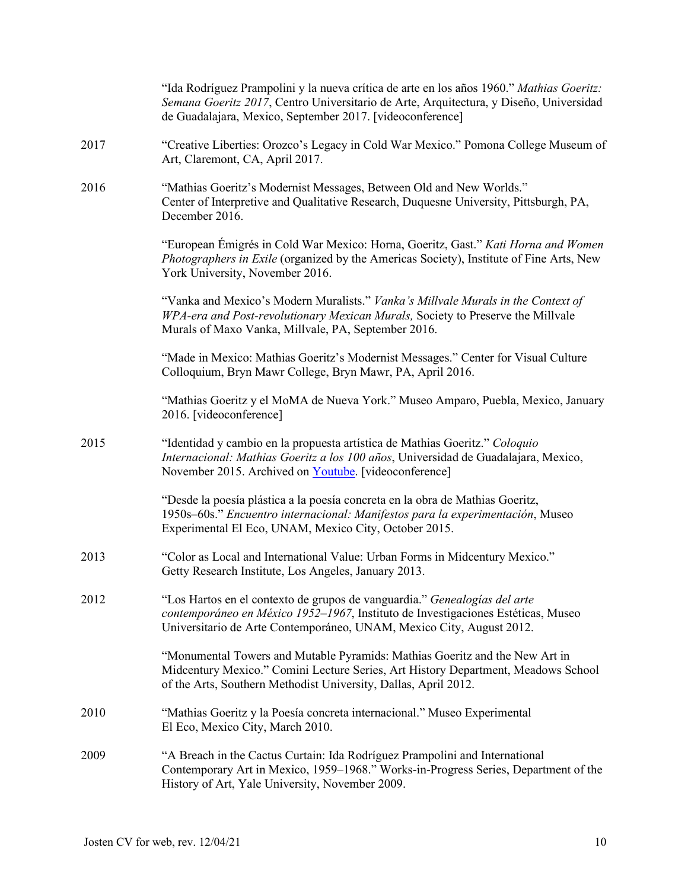|      | "Ida Rodríguez Prampolini y la nueva crítica de arte en los años 1960." Mathias Goeritz:<br>Semana Goeritz 2017, Centro Universitario de Arte, Arquitectura, y Diseño, Universidad<br>de Guadalajara, Mexico, September 2017. [videoconference] |
|------|-------------------------------------------------------------------------------------------------------------------------------------------------------------------------------------------------------------------------------------------------|
| 2017 | "Creative Liberties: Orozco's Legacy in Cold War Mexico." Pomona College Museum of<br>Art, Claremont, CA, April 2017.                                                                                                                           |
| 2016 | "Mathias Goeritz's Modernist Messages, Between Old and New Worlds."<br>Center of Interpretive and Qualitative Research, Duquesne University, Pittsburgh, PA,<br>December 2016.                                                                  |
|      | "European Émigrés in Cold War Mexico: Horna, Goeritz, Gast." Kati Horna and Women<br>Photographers in Exile (organized by the Americas Society), Institute of Fine Arts, New<br>York University, November 2016.                                 |
|      | "Vanka and Mexico's Modern Muralists." Vanka's Millvale Murals in the Context of<br>WPA-era and Post-revolutionary Mexican Murals, Society to Preserve the Millvale<br>Murals of Maxo Vanka, Millvale, PA, September 2016.                      |
|      | "Made in Mexico: Mathias Goeritz's Modernist Messages." Center for Visual Culture<br>Colloquium, Bryn Mawr College, Bryn Mawr, PA, April 2016.                                                                                                  |
|      | "Mathias Goeritz y el MoMA de Nueva York." Museo Amparo, Puebla, Mexico, January<br>2016. [videoconference]                                                                                                                                     |
| 2015 | "Identidad y cambio en la propuesta artística de Mathias Goeritz." Coloquio<br>Internacional: Mathias Goeritz a los 100 años, Universidad de Guadalajara, Mexico,<br>November 2015. Archived on Youtube. [videoconference]                      |
|      | "Desde la poesía plástica a la poesía concreta en la obra de Mathias Goeritz,<br>1950s-60s." Encuentro internacional: Manifestos para la experimentación, Museo<br>Experimental El Eco, UNAM, Mexico City, October 2015.                        |
| 2013 | "Color as Local and International Value: Urban Forms in Midcentury Mexico."<br>Getty Research Institute, Los Angeles, January 2013.                                                                                                             |
| 2012 | "Los Hartos en el contexto de grupos de vanguardia." Genealogías del arte<br>contemporáneo en México 1952-1967, Instituto de Investigaciones Estéticas, Museo<br>Universitario de Arte Contemporáneo, UNAM, Mexico City, August 2012.           |
|      | "Monumental Towers and Mutable Pyramids: Mathias Goeritz and the New Art in<br>Midcentury Mexico." Comini Lecture Series, Art History Department, Meadows School<br>of the Arts, Southern Methodist University, Dallas, April 2012.             |
| 2010 | "Mathias Goeritz y la Poesía concreta internacional." Museo Experimental<br>El Eco, Mexico City, March 2010.                                                                                                                                    |
| 2009 | "A Breach in the Cactus Curtain: Ida Rodríguez Prampolini and International<br>Contemporary Art in Mexico, 1959–1968." Works-in-Progress Series, Department of the<br>History of Art, Yale University, November 2009.                           |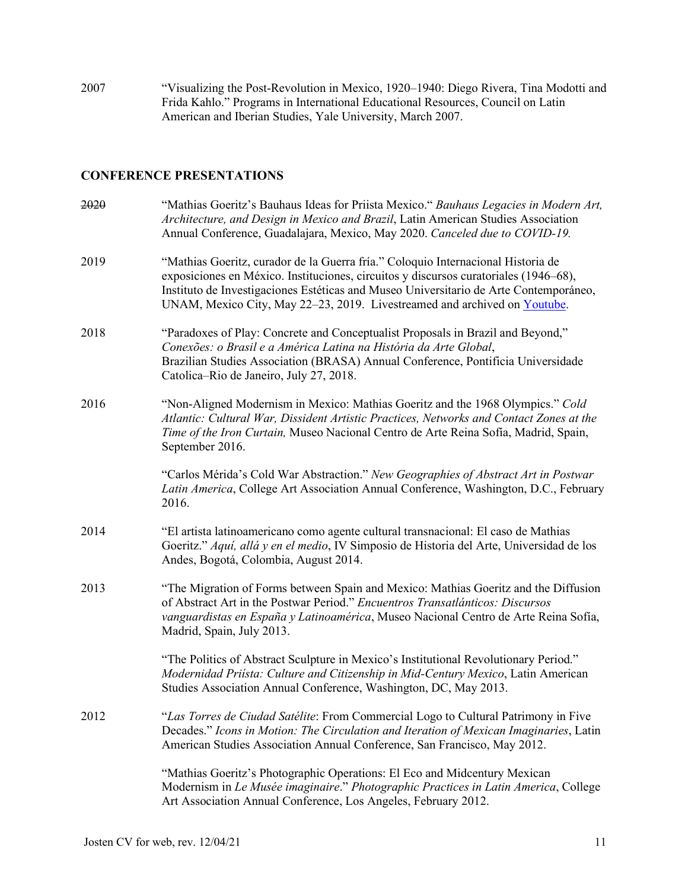2007 "Visualizing the Post-Revolution in Mexico, 1920–1940: Diego Rivera, Tina Modotti and Frida Kahlo." Programs in International Educational Resources, Council on Latin American and Iberian Studies, Yale University, March 2007.

# **CONFERENCE PRESENTATIONS**

| 2020 | "Mathias Goeritz's Bauhaus Ideas for Priista Mexico." Bauhaus Legacies in Modern Art,<br>Architecture, and Design in Mexico and Brazil, Latin American Studies Association<br>Annual Conference, Guadalajara, Mexico, May 2020. Canceled due to COVID-19.                                                                                      |
|------|------------------------------------------------------------------------------------------------------------------------------------------------------------------------------------------------------------------------------------------------------------------------------------------------------------------------------------------------|
| 2019 | "Mathias Goeritz, curador de la Guerra fría." Coloquio Internacional Historia de<br>exposiciones en México. Instituciones, circuitos y discursos curatoriales (1946-68),<br>Instituto de Investigaciones Estéticas and Museo Universitario de Arte Contemporáneo,<br>UNAM, Mexico City, May 22-23, 2019. Livestreamed and archived on Youtube. |
| 2018 | "Paradoxes of Play: Concrete and Conceptualist Proposals in Brazil and Beyond,"<br>Conexões: o Brasil e a América Latina na História da Arte Global,<br>Brazilian Studies Association (BRASA) Annual Conference, Pontificia Universidade<br>Catolica-Rio de Janeiro, July 27, 2018.                                                            |
| 2016 | "Non-Aligned Modernism in Mexico: Mathias Goeritz and the 1968 Olympics." Cold<br>Atlantic: Cultural War, Dissident Artistic Practices, Networks and Contact Zones at the<br>Time of the Iron Curtain, Museo Nacional Centro de Arte Reina Sofía, Madrid, Spain,<br>September 2016.                                                            |
|      | "Carlos Mérida's Cold War Abstraction." New Geographies of Abstract Art in Postwar<br>Latin America, College Art Association Annual Conference, Washington, D.C., February<br>2016.                                                                                                                                                            |
| 2014 | "El artista latinoamericano como agente cultural transnacional: El caso de Mathias<br>Goeritz." Aquí, allá y en el medio, IV Simposio de Historia del Arte, Universidad de los<br>Andes, Bogotá, Colombia, August 2014.                                                                                                                        |
| 2013 | "The Migration of Forms between Spain and Mexico: Mathias Goeritz and the Diffusion<br>of Abstract Art in the Postwar Period." Encuentros Transatlánticos: Discursos<br>vanguardistas en España y Latinoamérica, Museo Nacional Centro de Arte Reina Sofía,<br>Madrid, Spain, July 2013.                                                       |
|      | "The Politics of Abstract Sculpture in Mexico's Institutional Revolutionary Period."<br>Modernidad Priísta: Culture and Citizenship in Mid-Century Mexico, Latin American<br>Studies Association Annual Conference, Washington, DC, May 2013.                                                                                                  |
| 2012 | "Las Torres de Ciudad Satélite: From Commercial Logo to Cultural Patrimony in Five<br>Decades." Icons in Motion: The Circulation and Iteration of Mexican Imaginaries, Latin<br>American Studies Association Annual Conference, San Francisco, May 2012.                                                                                       |
|      | "Mathias Goeritz's Photographic Operations: El Eco and Midcentury Mexican<br>Modernism in Le Musée imaginaire." Photographic Practices in Latin America, College<br>Art Association Annual Conference, Los Angeles, February 2012.                                                                                                             |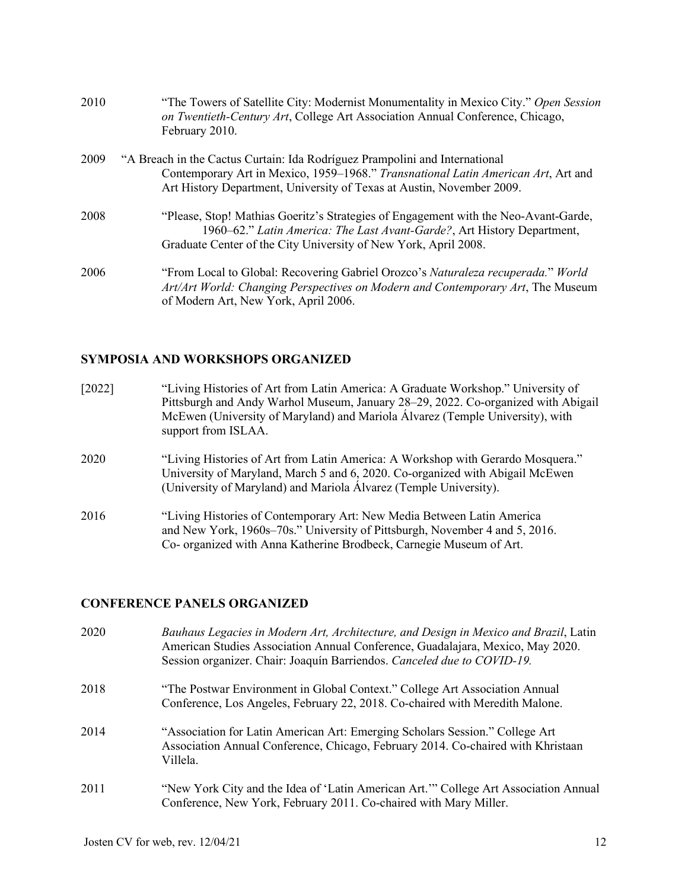| 2010 | "The Towers of Satellite City: Modernist Monumentality in Mexico City." Open Session<br>on Twentieth-Century Art, College Art Association Annual Conference, Chicago,<br>February 2010.                                                   |
|------|-------------------------------------------------------------------------------------------------------------------------------------------------------------------------------------------------------------------------------------------|
| 2009 | "A Breach in the Cactus Curtain: Ida Rodríguez Prampolini and International<br>Contemporary Art in Mexico, 1959-1968." Transnational Latin American Art, Art and<br>Art History Department, University of Texas at Austin, November 2009. |
| 2008 | "Please, Stop! Mathias Goeritz's Strategies of Engagement with the Neo-Avant-Garde,<br>1960–62." Latin America: The Last Avant-Garde?, Art History Department,<br>Graduate Center of the City University of New York, April 2008.         |
| 2006 | "From Local to Global: Recovering Gabriel Orozco's Naturaleza recuperada." World<br>Art/Art World: Changing Perspectives on Modern and Contemporary Art, The Museum<br>of Modern Art, New York, April 2006.                               |

# **SYMPOSIA AND WORKSHOPS ORGANIZED**

| [2022] | "Living Histories of Art from Latin America: A Graduate Workshop." University of<br>Pittsburgh and Andy Warhol Museum, January 28–29, 2022. Co-organized with Abigail<br>McEwen (University of Maryland) and Mariola Álvarez (Temple University), with<br>support from ISLAA. |
|--------|-------------------------------------------------------------------------------------------------------------------------------------------------------------------------------------------------------------------------------------------------------------------------------|
| 2020   | "Living Histories of Art from Latin America: A Workshop with Gerardo Mosquera."<br>University of Maryland, March 5 and 6, 2020. Co-organized with Abigail McEwen<br>(University of Maryland) and Mariola Álvarez (Temple University).                                         |
| 2016   | "Living Histories of Contemporary Art: New Media Between Latin America<br>and New York, 1960s–70s." University of Pittsburgh, November 4 and 5, 2016.<br>Co- organized with Anna Katherine Brodbeck, Carnegie Museum of Art.                                                  |

# **CONFERENCE PANELS ORGANIZED**

| 2020 | Bauhaus Legacies in Modern Art, Architecture, and Design in Mexico and Brazil, Latin<br>American Studies Association Annual Conference, Guadalajara, Mexico, May 2020.<br>Session organizer. Chair: Joaquín Barriendos. Canceled due to COVID-19. |
|------|---------------------------------------------------------------------------------------------------------------------------------------------------------------------------------------------------------------------------------------------------|
| 2018 | "The Postwar Environment in Global Context." College Art Association Annual<br>Conference, Los Angeles, February 22, 2018. Co-chaired with Meredith Malone.                                                                                       |
| 2014 | "Association for Latin American Art: Emerging Scholars Session." College Art<br>Association Annual Conference, Chicago, February 2014. Co-chaired with Khristaan<br>Villela.                                                                      |
| 2011 | "New York City and the Idea of 'Latin American Art."" College Art Association Annual<br>Conference, New York, February 2011. Co-chaired with Mary Miller.                                                                                         |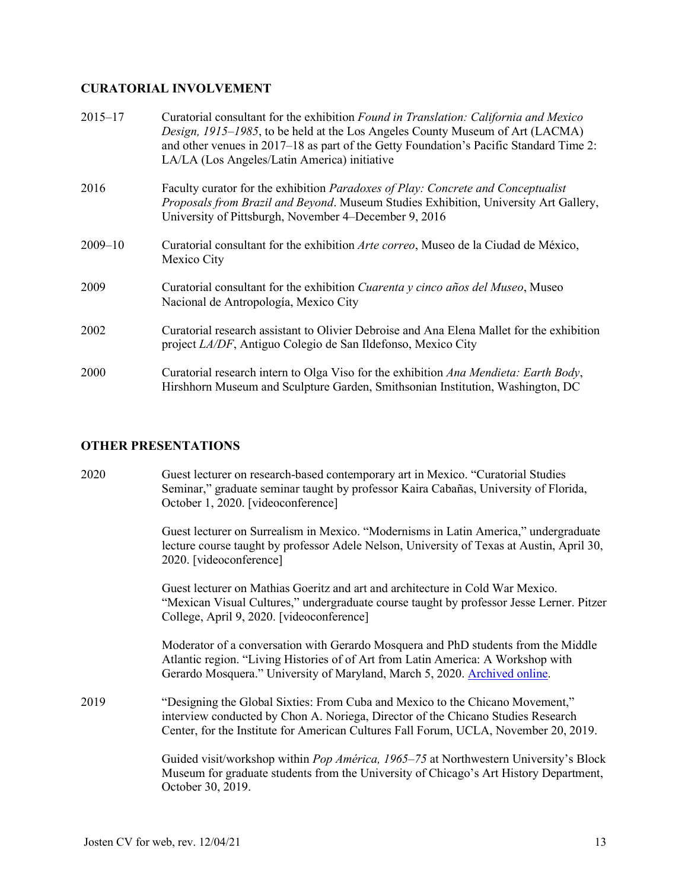# **CURATORIAL INVOLVEMENT**

| $2015 - 17$ | Curatorial consultant for the exhibition Found in Translation: California and Mexico<br>Design, 1915–1985, to be held at the Los Angeles County Museum of Art (LACMA)<br>and other venues in 2017–18 as part of the Getty Foundation's Pacific Standard Time 2:<br>LA/LA (Los Angeles/Latin America) initiative |
|-------------|-----------------------------------------------------------------------------------------------------------------------------------------------------------------------------------------------------------------------------------------------------------------------------------------------------------------|
| 2016        | Faculty curator for the exhibition <i>Paradoxes of Play: Concrete and Conceptualist</i><br>Proposals from Brazil and Beyond. Museum Studies Exhibition, University Art Gallery,<br>University of Pittsburgh, November 4–December 9, 2016                                                                        |
| $2009 - 10$ | Curatorial consultant for the exhibition Arte correo, Museo de la Ciudad de México,<br>Mexico City                                                                                                                                                                                                              |
| 2009        | Curatorial consultant for the exhibition Cuarenta y cinco años del Museo, Museo<br>Nacional de Antropología, Mexico City                                                                                                                                                                                        |
| 2002        | Curatorial research assistant to Olivier Debroise and Ana Elena Mallet for the exhibition<br>project LA/DF, Antiguo Colegio de San Ildefonso, Mexico City                                                                                                                                                       |
| 2000        | Curatorial research intern to Olga Viso for the exhibition Ana Mendieta: Earth Body,<br>Hirshhorn Museum and Sculpture Garden, Smithsonian Institution, Washington, DC                                                                                                                                          |

# **OTHER PRESENTATIONS**

| 2020 | Guest lecturer on research-based contemporary art in Mexico. "Curatorial Studies"    |
|------|--------------------------------------------------------------------------------------|
|      | Seminar," graduate seminar taught by professor Kaira Cabañas, University of Florida, |
|      | October 1, 2020. [videoconference]                                                   |
|      |                                                                                      |

Guest lecturer on Surrealism in Mexico. "Modernisms in Latin America," undergraduate lecture course taught by professor Adele Nelson, University of Texas at Austin, April 30, 2020. [videoconference]

Guest lecturer on Mathias Goeritz and art and architecture in Cold War Mexico. "Mexican Visual Cultures," undergraduate course taught by professor Jesse Lerner. Pitzer College, April 9, 2020. [videoconference]

Moderator of a conversation with Gerardo Mosquera and PhD students from the Middle Atlantic region. "Living Histories of of Art from Latin America: A Workshop with Gerardo Mosquera." University of Maryland, March 5, 2020. [Archived online.](https://www.youtube.com/watch?v=d8NAYDuvCQ4)

2019 "Designing the Global Sixties: From Cuba and Mexico to the Chicano Movement," interview conducted by Chon A. Noriega, Director of the Chicano Studies Research Center, for the Institute for American Cultures Fall Forum, UCLA, November 20, 2019.

> Guided visit/workshop within *Pop América, 1965–75* at Northwestern University's Block Museum for graduate students from the University of Chicago's Art History Department, October 30, 2019.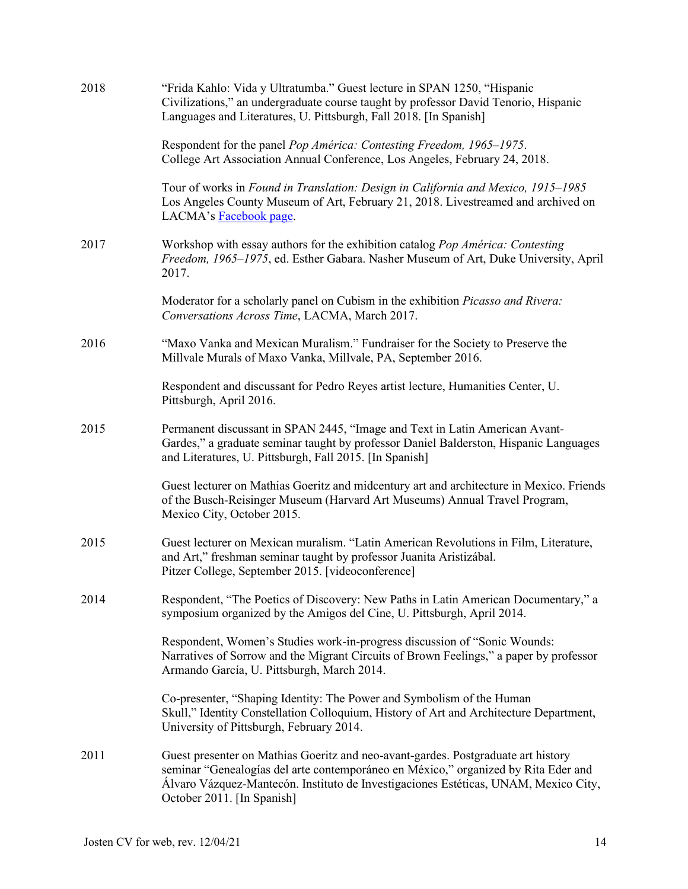| 2018 | "Frida Kahlo: Vida y Ultratumba." Guest lecture in SPAN 1250, "Hispanic<br>Civilizations," an undergraduate course taught by professor David Tenorio, Hispanic<br>Languages and Literatures, U. Pittsburgh, Fall 2018. [In Spanish]                                                          |
|------|----------------------------------------------------------------------------------------------------------------------------------------------------------------------------------------------------------------------------------------------------------------------------------------------|
|      | Respondent for the panel Pop América: Contesting Freedom, 1965–1975.<br>College Art Association Annual Conference, Los Angeles, February 24, 2018.                                                                                                                                           |
|      | Tour of works in Found in Translation: Design in California and Mexico, 1915–1985<br>Los Angeles County Museum of Art, February 21, 2018. Livestreamed and archived on<br>LACMA's <b>Facebook</b> page.                                                                                      |
| 2017 | Workshop with essay authors for the exhibition catalog Pop América: Contesting<br>Freedom, 1965-1975, ed. Esther Gabara. Nasher Museum of Art, Duke University, April<br>2017.                                                                                                               |
|      | Moderator for a scholarly panel on Cubism in the exhibition <i>Picasso and Rivera</i> :<br>Conversations Across Time, LACMA, March 2017.                                                                                                                                                     |
| 2016 | "Maxo Vanka and Mexican Muralism." Fundraiser for the Society to Preserve the<br>Millvale Murals of Maxo Vanka, Millvale, PA, September 2016.                                                                                                                                                |
|      | Respondent and discussant for Pedro Reyes artist lecture, Humanities Center, U.<br>Pittsburgh, April 2016.                                                                                                                                                                                   |
| 2015 | Permanent discussant in SPAN 2445, "Image and Text in Latin American Avant-<br>Gardes," a graduate seminar taught by professor Daniel Balderston, Hispanic Languages<br>and Literatures, U. Pittsburgh, Fall 2015. [In Spanish]                                                              |
|      | Guest lecturer on Mathias Goeritz and midcentury art and architecture in Mexico. Friends<br>of the Busch-Reisinger Museum (Harvard Art Museums) Annual Travel Program,<br>Mexico City, October 2015.                                                                                         |
| 2015 | Guest lecturer on Mexican muralism. "Latin American Revolutions in Film, Literature,<br>and Art," freshman seminar taught by professor Juanita Aristizábal.<br>Pitzer College, September 2015. [videoconference]                                                                             |
| 2014 | Respondent, "The Poetics of Discovery: New Paths in Latin American Documentary," a<br>symposium organized by the Amigos del Cine, U. Pittsburgh, April 2014.                                                                                                                                 |
|      | Respondent, Women's Studies work-in-progress discussion of "Sonic Wounds:<br>Narratives of Sorrow and the Migrant Circuits of Brown Feelings," a paper by professor<br>Armando García, U. Pittsburgh, March 2014.                                                                            |
|      | Co-presenter, "Shaping Identity: The Power and Symbolism of the Human<br>Skull," Identity Constellation Colloquium, History of Art and Architecture Department,<br>University of Pittsburgh, February 2014.                                                                                  |
| 2011 | Guest presenter on Mathias Goeritz and neo-avant-gardes. Postgraduate art history<br>seminar "Genealogías del arte contemporáneo en México," organized by Rita Eder and<br>Álvaro Vázquez-Mantecón. Instituto de Investigaciones Estéticas, UNAM, Mexico City,<br>October 2011. [In Spanish] |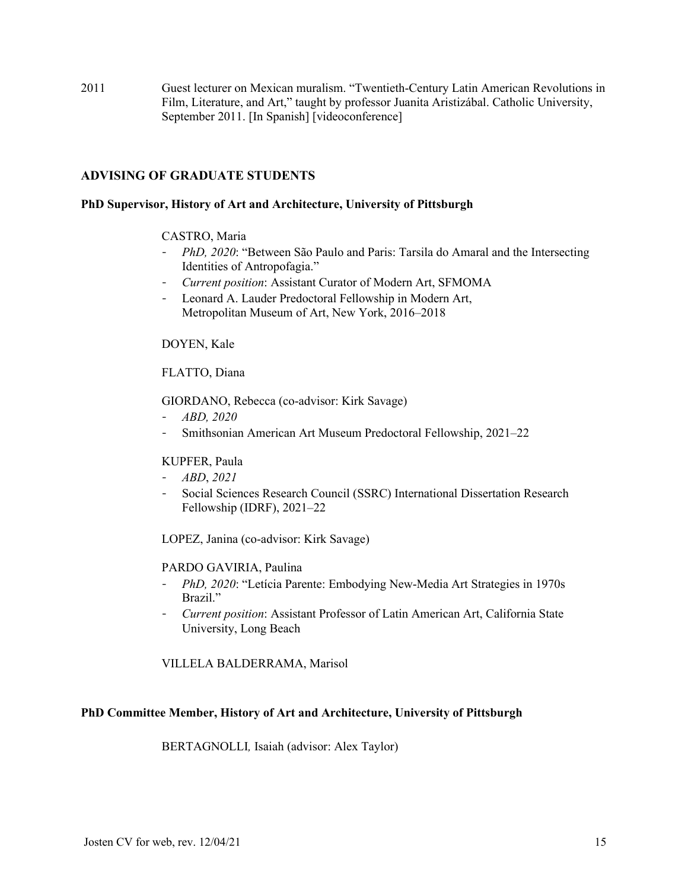2011 Guest lecturer on Mexican muralism. "Twentieth-Century Latin American Revolutions in Film, Literature, and Art," taught by professor Juanita Aristizábal. Catholic University, September 2011. [In Spanish] [videoconference]

# **ADVISING OF GRADUATE STUDENTS**

#### **PhD Supervisor, History of Art and Architecture, University of Pittsburgh**

#### CASTRO, Maria

- *PhD, 2020*: "Between São Paulo and Paris: Tarsila do Amaral and the Intersecting Identities of Antropofagia."
- *Current position*: Assistant Curator of Modern Art, SFMOMA
- Leonard A. Lauder Predoctoral Fellowship in Modern Art, Metropolitan Museum of Art, New York, 2016–2018

DOYEN, Kale

FLATTO, Diana

GIORDANO, Rebecca (co-advisor: Kirk Savage)

- *ABD, 2020*
- Smithsonian American Art Museum Predoctoral Fellowship, 2021–22

### KUPFER, Paula

- *ABD*, *2021*
- Social Sciences Research Council (SSRC) International Dissertation Research Fellowship (IDRF), 2021–22

LOPEZ, Janina (co-advisor: Kirk Savage)

#### PARDO GAVIRIA, Paulina

- *PhD, 2020*: "Letícia Parente: Embodying New-Media Art Strategies in 1970s Brazil."
- *Current position*: Assistant Professor of Latin American Art, California State University, Long Beach

VILLELA BALDERRAMA, Marisol

#### **PhD Committee Member, History of Art and Architecture, University of Pittsburgh**

BERTAGNOLLI*,* Isaiah (advisor: Alex Taylor)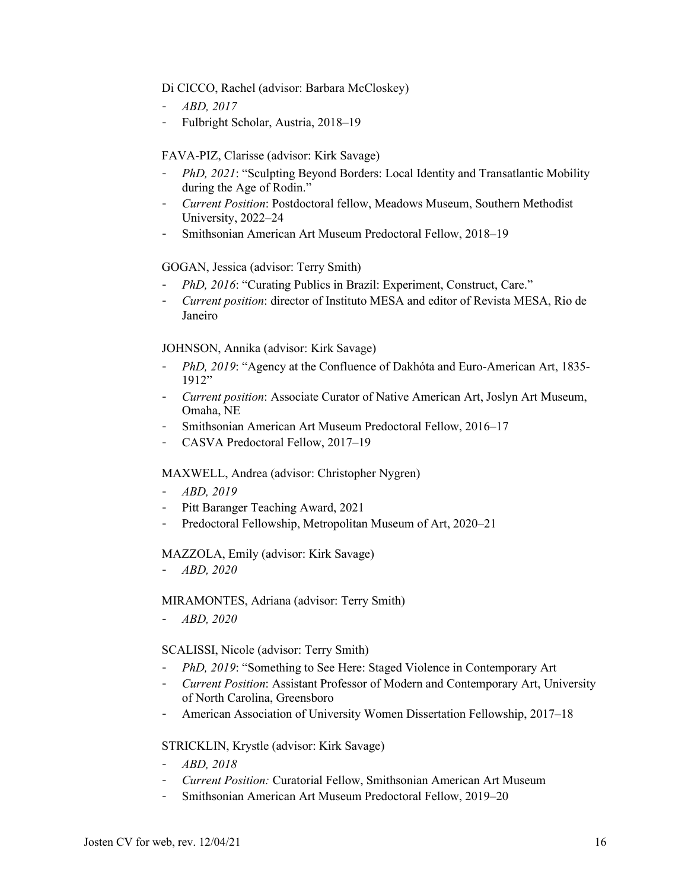#### Di CICCO, Rachel (advisor: Barbara McCloskey)

- *ABD, 2017*
- Fulbright Scholar, Austria, 2018–19

### FAVA-PIZ, Clarisse (advisor: Kirk Savage)

- *PhD, 2021*: "Sculpting Beyond Borders: Local Identity and Transatlantic Mobility during the Age of Rodin."
- *Current Position*: Postdoctoral fellow, Meadows Museum, Southern Methodist University, 2022–24
- Smithsonian American Art Museum Predoctoral Fellow, 2018–19

#### GOGAN, Jessica (advisor: Terry Smith)

- *PhD, 2016*: "Curating Publics in Brazil: Experiment, Construct, Care."
- *Current position*: director of Instituto MESA and editor of Revista MESA, Rio de Janeiro

#### JOHNSON, Annika (advisor: Kirk Savage)

- *PhD, 2019*: "Agency at the Confluence of Dakhóta and Euro-American Art, 1835- 1912"
- *Current position*: Associate Curator of Native American Art, Joslyn Art Museum, Omaha, NE
- Smithsonian American Art Museum Predoctoral Fellow, 2016–17
- CASVA Predoctoral Fellow, 2017–19

#### MAXWELL, Andrea (advisor: Christopher Nygren)

- *ABD, 2019*
- Pitt Baranger Teaching Award, 2021
- Predoctoral Fellowship, Metropolitan Museum of Art, 2020–21

#### MAZZOLA, Emily (advisor: Kirk Savage)

- *ABD, 2020*

#### MIRAMONTES, Adriana (advisor: Terry Smith)

- *ABD, 2020*

#### SCALISSI, Nicole (advisor: Terry Smith)

- *PhD, 2019*: "Something to See Here: Staged Violence in Contemporary Art
- *Current Position*: Assistant Professor of Modern and Contemporary Art, University of North Carolina, Greensboro
- American Association of University Women Dissertation Fellowship, 2017–18

#### STRICKLIN, Krystle (advisor: Kirk Savage)

- *ABD, 2018*
- *Current Position:* Curatorial Fellow, Smithsonian American Art Museum
- Smithsonian American Art Museum Predoctoral Fellow, 2019–20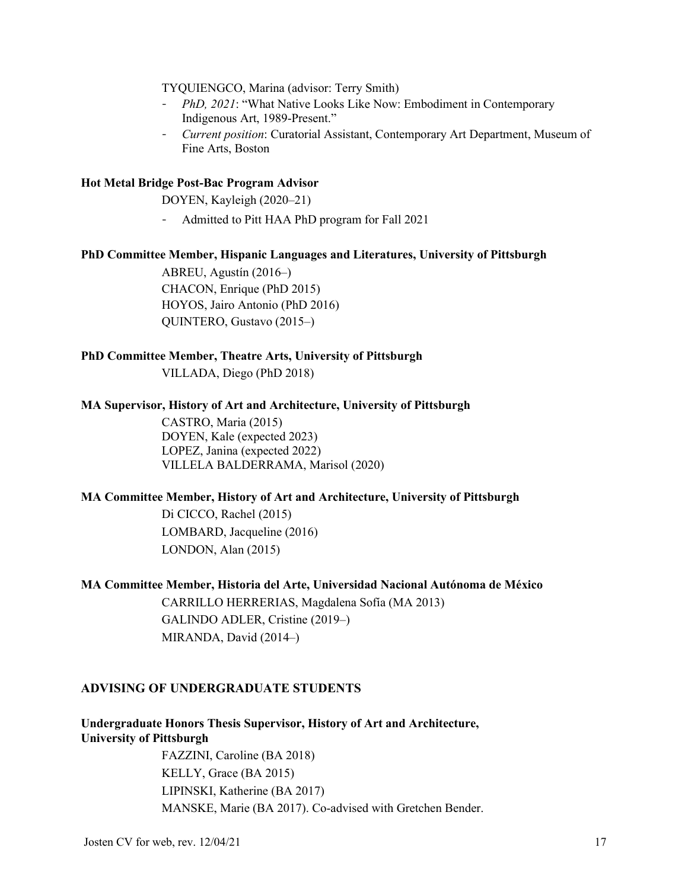TYQUIENGCO, Marina (advisor: Terry Smith)

- *PhD, 2021*: "What Native Looks Like Now: Embodiment in Contemporary Indigenous Art, 1989-Present."
- *Current position*: Curatorial Assistant, Contemporary Art Department, Museum of Fine Arts, Boston

#### **Hot Metal Bridge Post-Bac Program Advisor**

DOYEN, Kayleigh (2020–21)

- Admitted to Pitt HAA PhD program for Fall 2021

#### **PhD Committee Member, Hispanic Languages and Literatures, University of Pittsburgh**

ABREU, Agustín (2016–) CHACON, Enrique (PhD 2015) HOYOS, Jairo Antonio (PhD 2016) QUINTERO, Gustavo (2015–)

#### **PhD Committee Member, Theatre Arts, University of Pittsburgh**

VILLADA, Diego (PhD 2018)

#### **MA Supervisor, History of Art and Architecture, University of Pittsburgh**

CASTRO, Maria (2015) DOYEN, Kale (expected 2023) LOPEZ, Janina (expected 2022) VILLELA BALDERRAMA, Marisol (2020)

#### **MA Committee Member, History of Art and Architecture, University of Pittsburgh**

Di CICCO, Rachel (2015) LOMBARD, Jacqueline (2016) LONDON, Alan (2015)

#### **MA Committee Member, Historia del Arte, Universidad Nacional Autónoma de México**

CARRILLO HERRERIAS, Magdalena Sofía (MA 2013) GALINDO ADLER, Cristine (2019–) MIRANDA, David (2014–)

### **ADVISING OF UNDERGRADUATE STUDENTS**

**Undergraduate Honors Thesis Supervisor, History of Art and Architecture, University of Pittsburgh**

FAZZINI, Caroline (BA 2018) KELLY, Grace (BA 2015) LIPINSKI, Katherine (BA 2017) MANSKE, Marie (BA 2017). Co-advised with Gretchen Bender.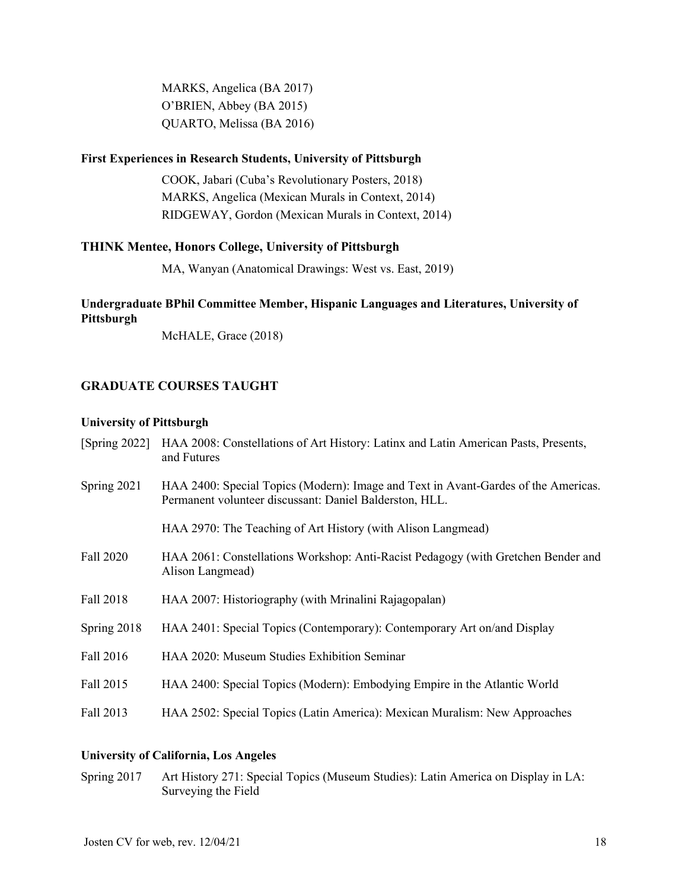MARKS, Angelica (BA 2017) O'BRIEN, Abbey (BA 2015) QUARTO, Melissa (BA 2016)

#### **First Experiences in Research Students, University of Pittsburgh**

COOK, Jabari (Cuba's Revolutionary Posters, 2018) MARKS, Angelica (Mexican Murals in Context, 2014) RIDGEWAY, Gordon (Mexican Murals in Context, 2014)

### **THINK Mentee, Honors College, University of Pittsburgh**

MA, Wanyan (Anatomical Drawings: West vs. East, 2019)

# **Undergraduate BPhil Committee Member, Hispanic Languages and Literatures, University of Pittsburgh**

McHALE, Grace (2018)

# **GRADUATE COURSES TAUGHT**

#### **University of Pittsburgh**

| [Spring $2022$ ] | HAA 2008: Constellations of Art History: Latinx and Latin American Pasts, Presents,<br>and Futures                                            |
|------------------|-----------------------------------------------------------------------------------------------------------------------------------------------|
| Spring 2021      | HAA 2400: Special Topics (Modern): Image and Text in Avant-Gardes of the Americas.<br>Permanent volunteer discussant: Daniel Balderston, HLL. |
|                  | HAA 2970: The Teaching of Art History (with Alison Langmead)                                                                                  |
| Fall 2020        | HAA 2061: Constellations Workshop: Anti-Racist Pedagogy (with Gretchen Bender and<br>Alison Langmead)                                         |
| Fall 2018        | HAA 2007: Historiography (with Mrinalini Rajagopalan)                                                                                         |
| Spring 2018      | HAA 2401: Special Topics (Contemporary): Contemporary Art on/and Display                                                                      |
| Fall 2016        | HAA 2020: Museum Studies Exhibition Seminar                                                                                                   |
| Fall 2015        | HAA 2400: Special Topics (Modern): Embodying Empire in the Atlantic World                                                                     |
| Fall 2013        | HAA 2502: Special Topics (Latin America): Mexican Muralism: New Approaches                                                                    |
|                  |                                                                                                                                               |

# **University of California, Los Angeles**

Spring 2017 Art History 271: Special Topics (Museum Studies): Latin America on Display in LA: Surveying the Field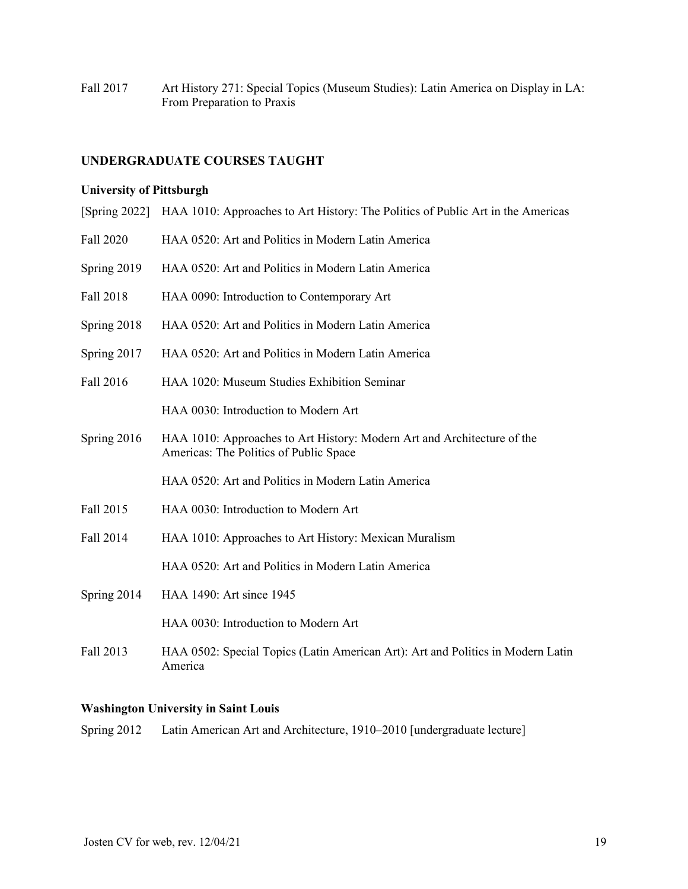Fall 2017 Art History 271: Special Topics (Museum Studies): Latin America on Display in LA: From Preparation to Praxis

### **UNDERGRADUATE COURSES TAUGHT**

#### **University of Pittsburgh**

- [Spring 2022] HAA 1010: Approaches to Art History: The Politics of Public Art in the Americas
- Fall 2020 HAA 0520: Art and Politics in Modern Latin America
- Spring 2019 HAA 0520: Art and Politics in Modern Latin America
- Fall 2018 HAA 0090: Introduction to Contemporary Art
- Spring 2018 HAA 0520: Art and Politics in Modern Latin America
- Spring 2017 HAA 0520: Art and Politics in Modern Latin America
- Fall 2016 HAA 1020: Museum Studies Exhibition Seminar

HAA 0030: Introduction to Modern Art

Spring 2016 HAA 1010: Approaches to Art History: Modern Art and Architecture of the Americas: The Politics of Public Space

HAA 0520: Art and Politics in Modern Latin America

- Fall 2015 HAA 0030: Introduction to Modern Art
- Fall 2014 HAA 1010: Approaches to Art History: Mexican Muralism

HAA 0520: Art and Politics in Modern Latin America

Spring 2014 HAA 1490: Art since 1945

HAA 0030: Introduction to Modern Art

Fall 2013 HAA 0502: Special Topics (Latin American Art): Art and Politics in Modern Latin America

#### **Washington University in Saint Louis**

Spring 2012 Latin American Art and Architecture, 1910–2010 [undergraduate lecture]